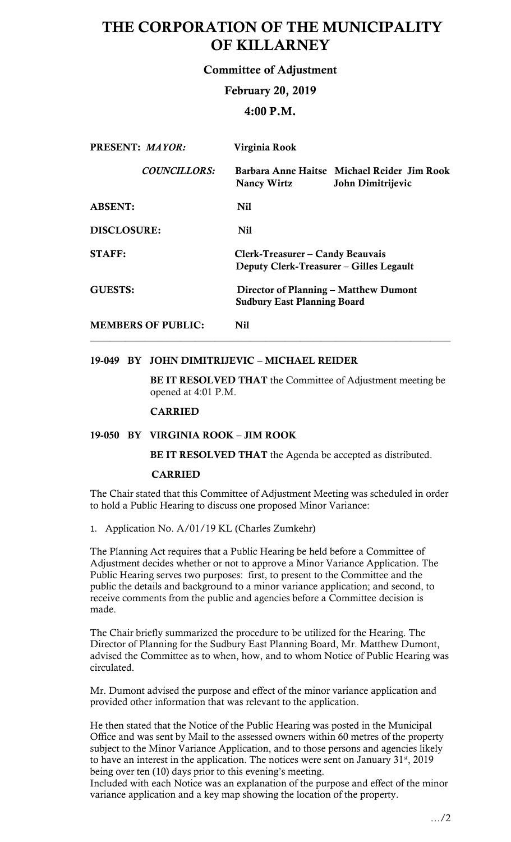# THE CORPORATION OF THE MUNICIPALITY OF KILLARNEY

# Committee of Adjustment

# February 20, 2019

# 4:00 P.M.

| <b>PRESENT: MAYOR:</b>    | Virginia Rook                                                               |                                                                  |
|---------------------------|-----------------------------------------------------------------------------|------------------------------------------------------------------|
| <b>COUNCILLORS:</b>       | <b>Nancy Wirtz</b>                                                          | Barbara Anne Haitse Michael Reider Jim Rook<br>John Dimitrijevic |
| <b>ABSENT:</b>            | <b>Nil</b>                                                                  |                                                                  |
| <b>DISCLOSURE:</b>        | Nil                                                                         |                                                                  |
| <b>STAFF:</b>             | Clerk-Treasurer – Candy Beauvais<br>Deputy Clerk-Treasurer – Gilles Legault |                                                                  |
| <b>GUESTS:</b>            | Director of Planning – Matthew Dumont<br><b>Sudbury East Planning Board</b> |                                                                  |
| <b>MEMBERS OF PUBLIC:</b> | Nil                                                                         |                                                                  |

## 19-049 BY JOHN DIMITRIJEVIC – MICHAEL REIDER

BE IT RESOLVED THAT the Committee of Adjustment meeting be opened at 4:01 P.M.

CARRIED

## 19-050 BY VIRGINIA ROOK – JIM ROOK

BE IT RESOLVED THAT the Agenda be accepted as distributed.

## CARRIED

 The Chair stated that this Committee of Adjustment Meeting was scheduled in order to hold a Public Hearing to discuss one proposed Minor Variance:

1. Application No. A/01/19 KL (Charles Zumkehr)

 The Planning Act requires that a Public Hearing be held before a Committee of Adjustment decides whether or not to approve a Minor Variance Application. The Public Hearing serves two purposes: first, to present to the Committee and the public the details and background to a minor variance application; and second, to receive comments from the public and agencies before a Committee decision is made.

 Director of Planning for the Sudbury East Planning Board, Mr. Matthew Dumont, advised the Committee as to when, how, and to whom Notice of Public Hearing was The Chair briefly summarized the procedure to be utilized for the Hearing. The circulated.

 Mr. Dumont advised the purpose and effect of the minor variance application and provided other information that was relevant to the application.

He then stated that the Notice of the Public Hearing was posted in the Municipal Office and was sent by Mail to the assessed owners within 60 metres of the property subject to the Minor Variance Application, and to those persons and agencies likely to have an interest in the application. The notices were sent on January  $31<sup>st</sup>$ , 2019 being over ten (10) days prior to this evening's meeting.

Included with each Notice was an explanation of the purpose and effect of the minor variance application and a key map showing the location of the property.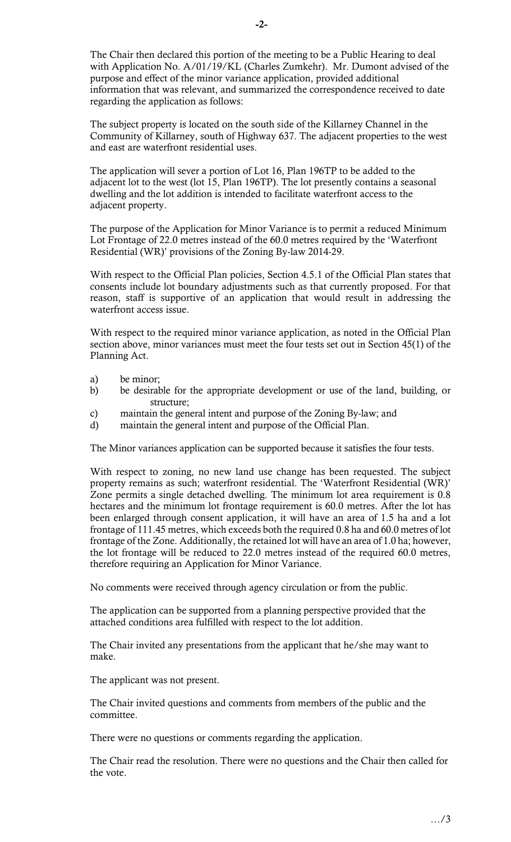The Chair then declared this portion of the meeting to be a Public Hearing to deal purpose and effect of the minor variance application, provided additional with Application No. A/01/19/KL (Charles Zumkehr). Mr. Dumont advised of the information that was relevant, and summarized the correspondence received to date regarding the application as follows:

 The subject property is located on the south side of the Killarney Channel in the Community of Killarney, south of Highway 637. The adjacent properties to the west and east are waterfront residential uses.

 The application will sever a portion of Lot 16, Plan 196TP to be added to the adjacent lot to the west (lot 15, Plan 196TP). The lot presently contains a seasonal dwelling and the lot addition is intended to facilitate waterfront access to the adjacent property.

The purpose of the Application for Minor Variance is to permit a reduced Minimum Lot Frontage of 22.0 metres instead of the 60.0 metres required by the 'Waterfront Residential (WR)' provisions of the Zoning By-law 2014-29.

 With respect to the Official Plan policies, Section 4.5.1 of the Official Plan states that consents include lot boundary adjustments such as that currently proposed. For that reason, staff is supportive of an application that would result in addressing the waterfront access issue.

 With respect to the required minor variance application, as noted in the Official Plan section above, minor variances must meet the four tests set out in Section 45(1) of the Planning Act.

- a) be minor;
- b) be desirable for the appropriate development or use of the land, building, or structure;
- c) maintain the general intent and purpose of the Zoning By-law; and
- d) maintain the general intent and purpose of the Official Plan.

The Minor variances application can be supported because it satisfies the four tests.

With respect to zoning, no new land use change has been requested. The subject property remains as such; waterfront residential. The 'Waterfront Residential (WR)' Zone permits a single detached dwelling. The minimum lot area requirement is 0.8 hectares and the minimum lot frontage requirement is 60.0 metres. After the lot has been enlarged through consent application, it will have an area of 1.5 ha and a lot frontage of 111.45 metres, which exceeds both the required 0.8 ha and 60.0 metres of lot frontage of the Zone. Additionally, the retained lot will have an area of 1.0 ha; however, the lot frontage will be reduced to 22.0 metres instead of the required 60.0 metres, therefore requiring an Application for Minor Variance.

No comments were received through agency circulation or from the public.

 The application can be supported from a planning perspective provided that the attached conditions area fulfilled with respect to the lot addition.

 The Chair invited any presentations from the applicant that he/she may want to make.

The applicant was not present.

 The Chair invited questions and comments from members of the public and the committee.

There were no questions or comments regarding the application.

 The Chair read the resolution. There were no questions and the Chair then called for the vote.